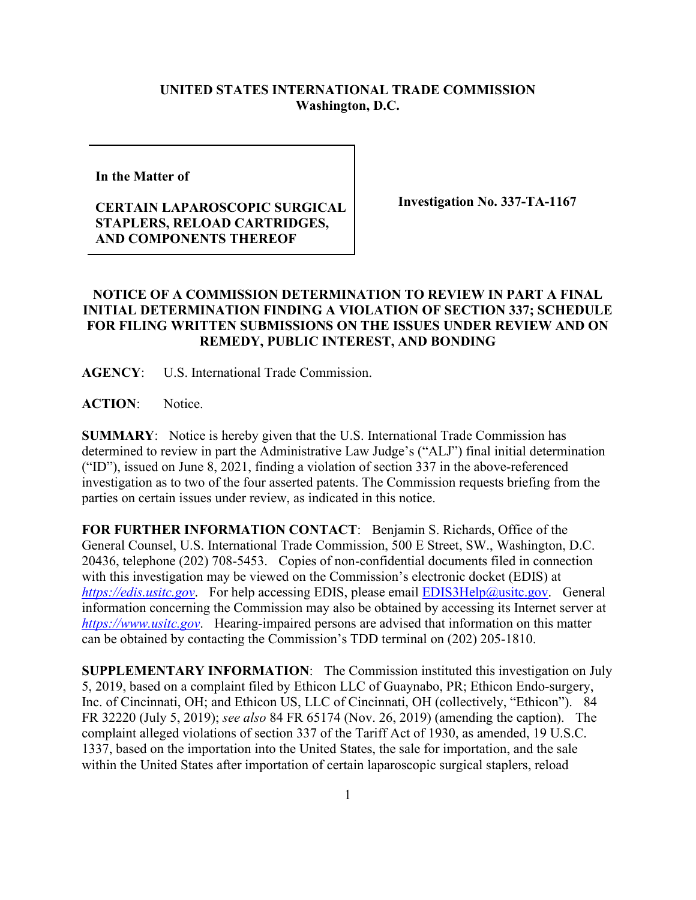## **UNITED STATES INTERNATIONAL TRADE COMMISSION Washington, D.C.**

**In the Matter of** 

## **CERTAIN LAPAROSCOPIC SURGICAL STAPLERS, RELOAD CARTRIDGES, AND COMPONENTS THEREOF**

**Investigation No. 337-TA-1167**

## **NOTICE OF A COMMISSION DETERMINATION TO REVIEW IN PART A FINAL INITIAL DETERMINATION FINDING A VIOLATION OF SECTION 337; SCHEDULE FOR FILING WRITTEN SUBMISSIONS ON THE ISSUES UNDER REVIEW AND ON REMEDY, PUBLIC INTEREST, AND BONDING**

**AGENCY**: U.S. International Trade Commission.

**ACTION**: Notice.

**SUMMARY**: Notice is hereby given that the U.S. International Trade Commission has determined to review in part the Administrative Law Judge's ("ALJ") final initial determination ("ID"), issued on June 8, 2021, finding a violation of section 337 in the above-referenced investigation as to two of the four asserted patents. The Commission requests briefing from the parties on certain issues under review, as indicated in this notice.

**FOR FURTHER INFORMATION CONTACT**: Benjamin S. Richards, Office of the General Counsel, U.S. International Trade Commission, 500 E Street, SW., Washington, D.C. 20436, telephone (202) 708-5453. Copies of non-confidential documents filed in connection with this investigation may be viewed on the Commission's electronic docket (EDIS) at *[https://edis.usitc.gov](https://edis.usitc.gov/)*. For help accessing EDIS, please email [EDIS3Help@usitc.gov.](mailto:EDIS3Help@usitc.gov) General information concerning the Commission may also be obtained by accessing its Internet server at *[https://www.usitc.gov](https://www.usitc.gov/)*. Hearing-impaired persons are advised that information on this matter can be obtained by contacting the Commission's TDD terminal on (202) 205-1810.

**SUPPLEMENTARY INFORMATION**: The Commission instituted this investigation on July 5, 2019, based on a complaint filed by Ethicon LLC of Guaynabo, PR; Ethicon Endo-surgery, Inc. of Cincinnati, OH; and Ethicon US, LLC of Cincinnati, OH (collectively, "Ethicon"). 84 FR 32220 (July 5, 2019); *see also* 84 FR 65174 (Nov. 26, 2019) (amending the caption). The complaint alleged violations of section 337 of the Tariff Act of 1930, as amended, 19 U.S.C. 1337, based on the importation into the United States, the sale for importation, and the sale within the United States after importation of certain laparoscopic surgical staplers, reload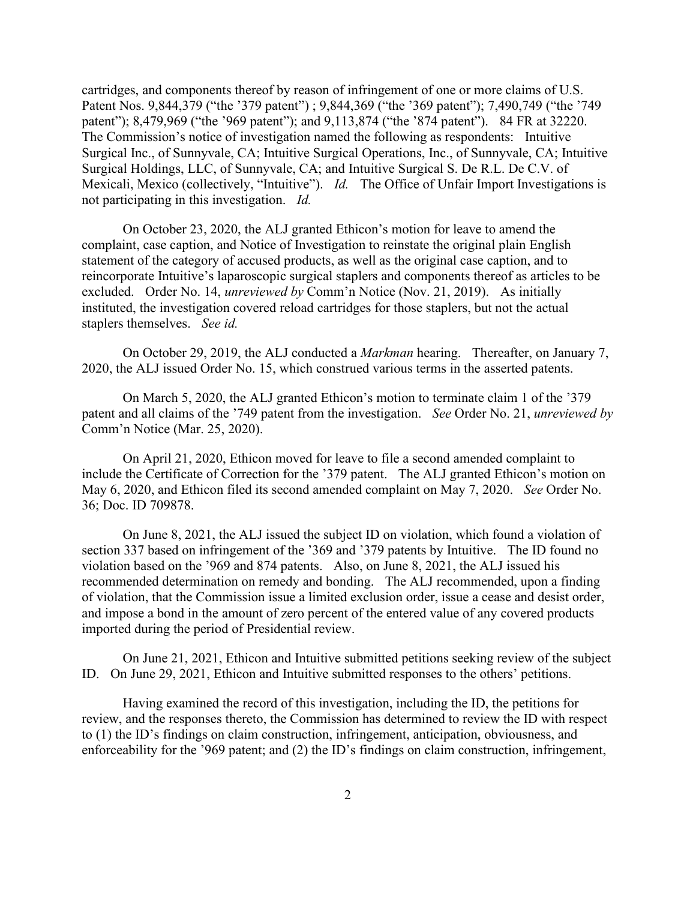cartridges, and components thereof by reason of infringement of one or more claims of U.S. Patent Nos. 9,844,379 ("the '379 patent") ; 9,844,369 ("the '369 patent"); 7,490,749 ("the '749 patent"); 8,479,969 ("the '969 patent"); and 9,113,874 ("the '874 patent"). 84 FR at 32220. The Commission's notice of investigation named the following as respondents: Intuitive Surgical Inc., of Sunnyvale, CA; Intuitive Surgical Operations, Inc., of Sunnyvale, CA; Intuitive Surgical Holdings, LLC, of Sunnyvale, CA; and Intuitive Surgical S. De R.L. De C.V. of Mexicali, Mexico (collectively, "Intuitive"). *Id.* The Office of Unfair Import Investigations is not participating in this investigation. *Id.*

On October 23, 2020, the ALJ granted Ethicon's motion for leave to amend the complaint, case caption, and Notice of Investigation to reinstate the original plain English statement of the category of accused products, as well as the original case caption, and to reincorporate Intuitive's laparoscopic surgical staplers and components thereof as articles to be excluded. Order No. 14, *unreviewed by* Comm'n Notice (Nov. 21, 2019). As initially instituted, the investigation covered reload cartridges for those staplers, but not the actual staplers themselves. *See id.*

On October 29, 2019, the ALJ conducted a *Markman* hearing. Thereafter, on January 7, 2020, the ALJ issued Order No. 15, which construed various terms in the asserted patents.

On March 5, 2020, the ALJ granted Ethicon's motion to terminate claim 1 of the '379 patent and all claims of the '749 patent from the investigation. *See* Order No. 21, *unreviewed by* Comm'n Notice (Mar. 25, 2020).

On April 21, 2020, Ethicon moved for leave to file a second amended complaint to include the Certificate of Correction for the '379 patent. The ALJ granted Ethicon's motion on May 6, 2020, and Ethicon filed its second amended complaint on May 7, 2020. *See* Order No. 36; Doc. ID 709878.

On June 8, 2021, the ALJ issued the subject ID on violation, which found a violation of section 337 based on infringement of the '369 and '379 patents by Intuitive. The ID found no violation based on the '969 and 874 patents. Also, on June 8, 2021, the ALJ issued his recommended determination on remedy and bonding. The ALJ recommended, upon a finding of violation, that the Commission issue a limited exclusion order, issue a cease and desist order, and impose a bond in the amount of zero percent of the entered value of any covered products imported during the period of Presidential review.

On June 21, 2021, Ethicon and Intuitive submitted petitions seeking review of the subject ID. On June 29, 2021, Ethicon and Intuitive submitted responses to the others' petitions.

Having examined the record of this investigation, including the ID, the petitions for review, and the responses thereto, the Commission has determined to review the ID with respect to (1) the ID's findings on claim construction, infringement, anticipation, obviousness, and enforceability for the '969 patent; and (2) the ID's findings on claim construction, infringement,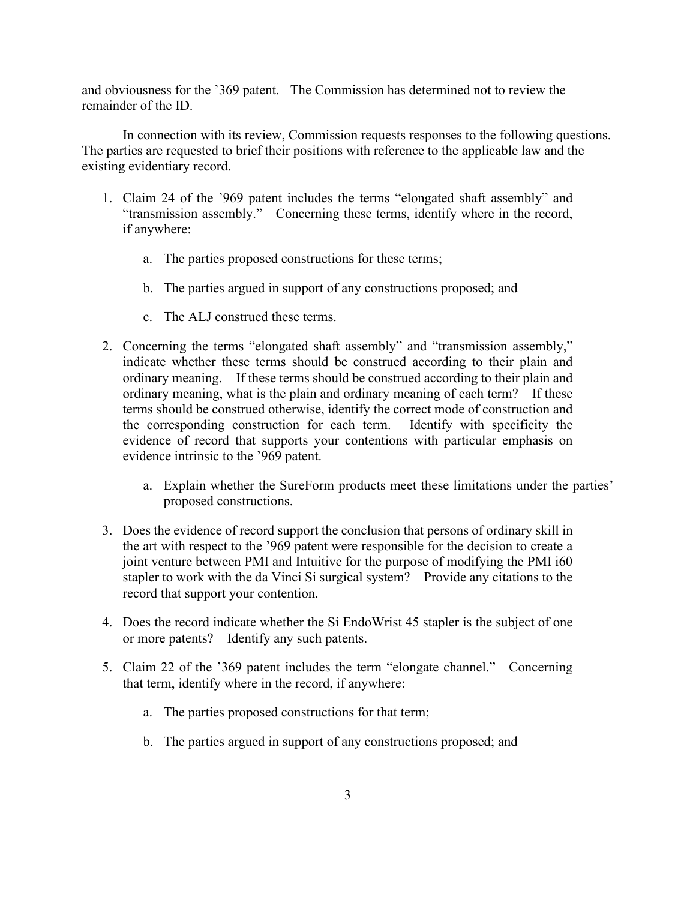and obviousness for the '369 patent. The Commission has determined not to review the remainder of the ID.

In connection with its review, Commission requests responses to the following questions. The parties are requested to brief their positions with reference to the applicable law and the existing evidentiary record.

- 1. Claim 24 of the '969 patent includes the terms "elongated shaft assembly" and "transmission assembly." Concerning these terms, identify where in the record, if anywhere:
	- a. The parties proposed constructions for these terms;
	- b. The parties argued in support of any constructions proposed; and
	- c. The ALJ construed these terms.
- 2. Concerning the terms "elongated shaft assembly" and "transmission assembly," indicate whether these terms should be construed according to their plain and ordinary meaning. If these terms should be construed according to their plain and ordinary meaning, what is the plain and ordinary meaning of each term? If these terms should be construed otherwise, identify the correct mode of construction and the corresponding construction for each term. Identify with specificity the evidence of record that supports your contentions with particular emphasis on evidence intrinsic to the '969 patent.
	- a. Explain whether the SureForm products meet these limitations under the parties' proposed constructions.
- 3. Does the evidence of record support the conclusion that persons of ordinary skill in the art with respect to the '969 patent were responsible for the decision to create a joint venture between PMI and Intuitive for the purpose of modifying the PMI i60 stapler to work with the da Vinci Si surgical system? Provide any citations to the record that support your contention.
- 4. Does the record indicate whether the Si EndoWrist 45 stapler is the subject of one or more patents? Identify any such patents.
- 5. Claim 22 of the '369 patent includes the term "elongate channel." Concerning that term, identify where in the record, if anywhere:
	- a. The parties proposed constructions for that term;
	- b. The parties argued in support of any constructions proposed; and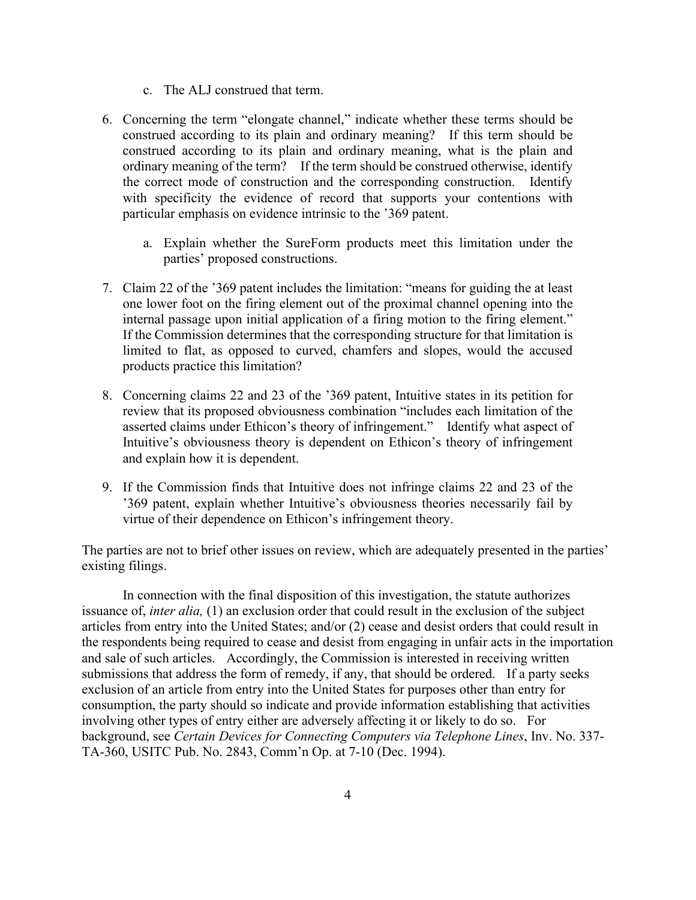- c. The ALJ construed that term.
- 6. Concerning the term "elongate channel," indicate whether these terms should be construed according to its plain and ordinary meaning? If this term should be construed according to its plain and ordinary meaning, what is the plain and ordinary meaning of the term? If the term should be construed otherwise, identify the correct mode of construction and the corresponding construction. Identify with specificity the evidence of record that supports your contentions with particular emphasis on evidence intrinsic to the '369 patent.
	- a. Explain whether the SureForm products meet this limitation under the parties' proposed constructions.
- 7. Claim 22 of the '369 patent includes the limitation: "means for guiding the at least one lower foot on the firing element out of the proximal channel opening into the internal passage upon initial application of a firing motion to the firing element." If the Commission determines that the corresponding structure for that limitation is limited to flat, as opposed to curved, chamfers and slopes, would the accused products practice this limitation?
- 8. Concerning claims 22 and 23 of the '369 patent, Intuitive states in its petition for review that its proposed obviousness combination "includes each limitation of the asserted claims under Ethicon's theory of infringement." Identify what aspect of Intuitive's obviousness theory is dependent on Ethicon's theory of infringement and explain how it is dependent.
- 9. If the Commission finds that Intuitive does not infringe claims 22 and 23 of the '369 patent, explain whether Intuitive's obviousness theories necessarily fail by virtue of their dependence on Ethicon's infringement theory.

The parties are not to brief other issues on review, which are adequately presented in the parties' existing filings.

In connection with the final disposition of this investigation, the statute authorizes issuance of, *inter alia,* (1) an exclusion order that could result in the exclusion of the subject articles from entry into the United States; and/or (2) cease and desist orders that could result in the respondents being required to cease and desist from engaging in unfair acts in the importation and sale of such articles. Accordingly, the Commission is interested in receiving written submissions that address the form of remedy, if any, that should be ordered. If a party seeks exclusion of an article from entry into the United States for purposes other than entry for consumption, the party should so indicate and provide information establishing that activities involving other types of entry either are adversely affecting it or likely to do so. For background, see *Certain Devices for Connecting Computers via Telephone Lines*, Inv. No. 337- TA-360, USITC Pub. No. 2843, Comm'n Op. at 7-10 (Dec. 1994).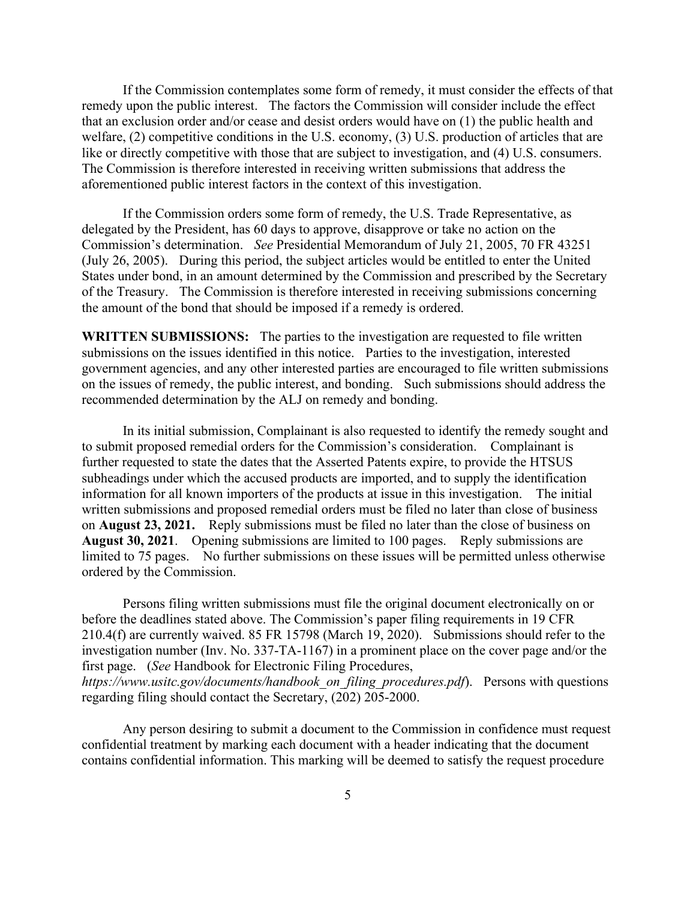If the Commission contemplates some form of remedy, it must consider the effects of that remedy upon the public interest. The factors the Commission will consider include the effect that an exclusion order and/or cease and desist orders would have on (1) the public health and welfare, (2) competitive conditions in the U.S. economy, (3) U.S. production of articles that are like or directly competitive with those that are subject to investigation, and (4) U.S. consumers. The Commission is therefore interested in receiving written submissions that address the aforementioned public interest factors in the context of this investigation.

If the Commission orders some form of remedy, the U.S. Trade Representative, as delegated by the President, has 60 days to approve, disapprove or take no action on the Commission's determination. *See* Presidential Memorandum of July 21, 2005, 70 FR 43251 (July 26, 2005). During this period, the subject articles would be entitled to enter the United States under bond, in an amount determined by the Commission and prescribed by the Secretary of the Treasury. The Commission is therefore interested in receiving submissions concerning the amount of the bond that should be imposed if a remedy is ordered.

**WRITTEN SUBMISSIONS:** The parties to the investigation are requested to file written submissions on the issues identified in this notice. Parties to the investigation, interested government agencies, and any other interested parties are encouraged to file written submissions on the issues of remedy, the public interest, and bonding. Such submissions should address the recommended determination by the ALJ on remedy and bonding.

In its initial submission, Complainant is also requested to identify the remedy sought and to submit proposed remedial orders for the Commission's consideration. Complainant is further requested to state the dates that the Asserted Patents expire, to provide the HTSUS subheadings under which the accused products are imported, and to supply the identification information for all known importers of the products at issue in this investigation. The initial written submissions and proposed remedial orders must be filed no later than close of business on **August 23, 2021.** Reply submissions must be filed no later than the close of business on **August 30, 2021**. Opening submissions are limited to 100 pages. Reply submissions are limited to 75 pages. No further submissions on these issues will be permitted unless otherwise ordered by the Commission.

Persons filing written submissions must file the original document electronically on or before the deadlines stated above. The Commission's paper filing requirements in 19 CFR 210.4(f) are currently waived. 85 FR 15798 (March 19, 2020). Submissions should refer to the investigation number (Inv. No. 337-TA-1167) in a prominent place on the cover page and/or the first page. (*See* Handbook for Electronic Filing Procedures, *https://www.usitc.gov/documents/handbook\_on\_filing\_procedures.pdf*). Persons with questions regarding filing should contact the Secretary, (202) 205-2000.

Any person desiring to submit a document to the Commission in confidence must request confidential treatment by marking each document with a header indicating that the document contains confidential information. This marking will be deemed to satisfy the request procedure